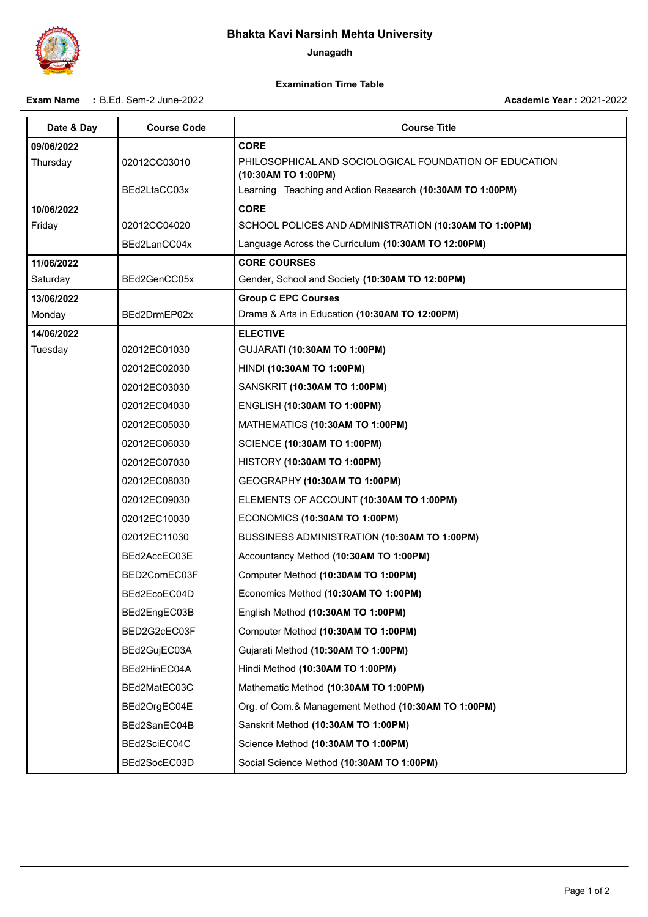## **Bhakta Kavi Narsinh Mehta University**

**Junagadh**

## **Examination Time Table**

**Exam Name :** B.Ed. Sem-2 June-2022

**Academic Year :** 2021-2022

| Date & Day | <b>Course Code</b> | <b>Course Title</b>                                                           |
|------------|--------------------|-------------------------------------------------------------------------------|
| 09/06/2022 |                    | <b>CORE</b>                                                                   |
| Thursday   | 02012CC03010       | PHILOSOPHICAL AND SOCIOLOGICAL FOUNDATION OF EDUCATION<br>(10:30AM TO 1:00PM) |
|            | BEd2LtaCC03x       | Learning Teaching and Action Research (10:30AM TO 1:00PM)                     |
| 10/06/2022 |                    | <b>CORE</b>                                                                   |
| Friday     | 02012CC04020       | SCHOOL POLICES AND ADMINISTRATION (10:30AM TO 1:00PM)                         |
|            | BEd2LanCC04x       | Language Across the Curriculum (10:30AM TO 12:00PM)                           |
| 11/06/2022 |                    | <b>CORE COURSES</b>                                                           |
| Saturday   | BEd2GenCC05x       | Gender, School and Society (10:30AM TO 12:00PM)                               |
| 13/06/2022 |                    | <b>Group C EPC Courses</b>                                                    |
| Monday     | BEd2DrmEP02x       | Drama & Arts in Education (10:30AM TO 12:00PM)                                |
| 14/06/2022 |                    | <b>ELECTIVE</b>                                                               |
| Tuesday    | 02012EC01030       | GUJARATI (10:30AM TO 1:00PM)                                                  |
|            | 02012EC02030       | HINDI (10:30AM TO 1:00PM)                                                     |
|            | 02012EC03030       | SANSKRIT (10:30AM TO 1:00PM)                                                  |
|            | 02012EC04030       | <b>ENGLISH (10:30AM TO 1:00PM)</b>                                            |
|            | 02012EC05030       | MATHEMATICS (10:30AM TO 1:00PM)                                               |
|            | 02012EC06030       | <b>SCIENCE (10:30AM TO 1:00PM)</b>                                            |
|            | 02012EC07030       | HISTORY (10:30AM TO 1:00PM)                                                   |
|            | 02012EC08030       | GEOGRAPHY (10:30AM TO 1:00PM)                                                 |
|            | 02012EC09030       | ELEMENTS OF ACCOUNT (10:30AM TO 1:00PM)                                       |
|            | 02012EC10030       | ECONOMICS (10:30AM TO 1:00PM)                                                 |
|            | 02012EC11030       | BUSSINESS ADMINISTRATION (10:30AM TO 1:00PM)                                  |
|            | BEd2AccEC03E       | Accountancy Method (10:30AM TO 1:00PM)                                        |
|            | BED2ComEC03F       | Computer Method (10:30AM TO 1:00PM)                                           |
|            | BEd2EcoEC04D       | Economics Method (10:30AM TO 1:00PM)                                          |
|            | BEd2EngEC03B       | English Method (10:30AM TO 1:00PM)                                            |
|            | BED2G2cEC03F       | Computer Method (10:30AM TO 1:00PM)                                           |
|            | BEd2GujEC03A       | Gujarati Method (10:30AM TO 1:00PM)                                           |
|            | BEd2HinEC04A       | Hindi Method (10:30AM TO 1:00PM)                                              |
|            | BEd2MatEC03C       | Mathematic Method (10:30AM TO 1:00PM)                                         |
|            | BEd2OrgEC04E       | Org. of Com.& Management Method (10:30AM TO 1:00PM)                           |
|            | BEd2SanEC04B       | Sanskrit Method (10:30AM TO 1:00PM)                                           |
|            | BEd2SciEC04C       | Science Method (10:30AM TO 1:00PM)                                            |
|            | BEd2SocEC03D       | Social Science Method (10:30AM TO 1:00PM)                                     |